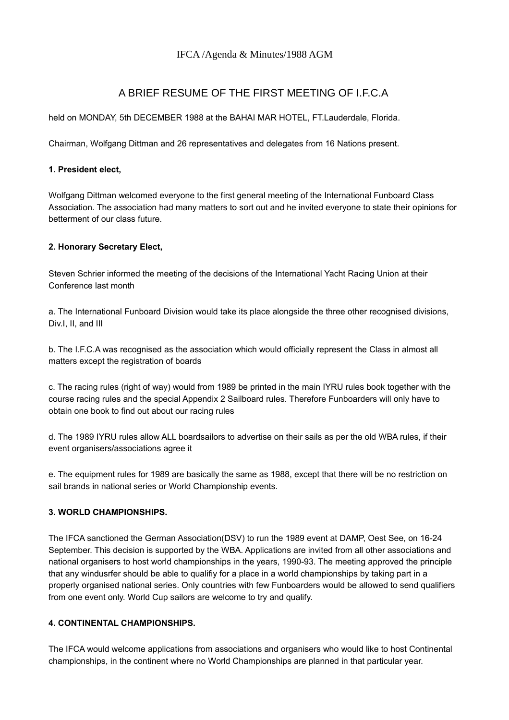# IFCA /Agenda & Minutes/1988 AGM

# A BRIEF RESUME OF THE FIRST MEETING OF I.F.C.A

held on MONDAY, 5th DECEMBER 1988 at the BAHAI MAR HOTEL, FT.Lauderdale, Florida.

Chairman, Wolfgang Dittman and 26 representatives and delegates from 16 Nations present.

### **1. President elect,**

Wolfgang Dittman welcomed everyone to the first general meeting of the International Funboard Class Association. The association had many matters to sort out and he invited everyone to state their opinions for betterment of our class future.

# **2. Honorary Secretary Elect,**

Steven Schrier informed the meeting of the decisions of the International Yacht Racing Union at their Conference last month

a. The International Funboard Division would take its place alongside the three other recognised divisions, Div.I, II, and III

b. The I.F.C.A was recognised as the association which would officially represent the Class in almost all matters except the registration of boards

c. The racing rules (right of way) would from 1989 be printed in the main IYRU rules book together with the course racing rules and the special Appendix 2 Sailboard rules. Therefore Funboarders will only have to obtain one book to find out about our racing rules

d. The 1989 IYRU rules allow ALL boardsailors to advertise on their sails as per the old WBA rules, if their event organisers/associations agree it

e. The equipment rules for 1989 are basically the same as 1988, except that there will be no restriction on sail brands in national series or World Championship events.

# **3. WORLD CHAMPIONSHIPS.**

The IFCA sanctioned the German Association(DSV) to run the 1989 event at DAMP, Oest See, on 16-24 September. This decision is supported by the WBA. Applications are invited from all other associations and national organisers to host world championships in the years, 1990-93. The meeting approved the principle that any windusrfer should be able to qualifiy for a place in a world championships by taking part in a properly organised national series. Only countries with few Funboarders would be allowed to send qualifiers from one event only. World Cup sailors are welcome to try and qualify.

# **4. CONTINENTAL CHAMPIONSHIPS.**

The IFCA would welcome applications from associations and organisers who would like to host Continental championships, in the continent where no World Championships are planned in that particular year.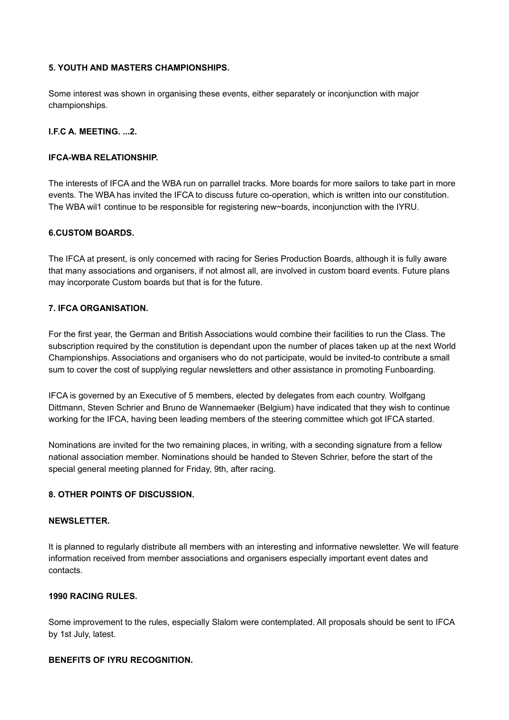### **5. YOUTH AND MASTERS CHAMPIONSHIPS.**

Some interest was shown in organising these events, either separately or inconjunction with major championships.

### **I.F.C A. MEETING. ...2.**

#### **IFCA-WBA RELATIONSHIP.**

The interests of IFCA and the WBA run on parrallel tracks. More boards for more sailors to take part in more events. The WBA has invited the IFCA to discuss future co-operation, which is written into our constitution. The WBA wil1 continue to be responsible for registering new~boards, inconjunction with the IYRU.

#### **6.CUSTOM BOARDS.**

The IFCA at present, is only concerned with racing for Series Production Boards, although it is fully aware that many associations and organisers, if not almost all, are involved in custom board events. Future plans may incorporate Custom boards but that is for the future.

#### **7. IFCA ORGANISATION.**

For the first year, the German and British Associations would combine their facilities to run the Class. The subscription required by the constitution is dependant upon the number of places taken up at the next World Championships. Associations and organisers who do not participate, would be invited-to contribute a small sum to cover the cost of supplying regular newsletters and other assistance in promoting Funboarding.

IFCA is governed by an Executive of 5 members, elected by delegates from each country. Wolfgang Dittmann, Steven Schrier and Bruno de Wannemaeker (Belgium) have indicated that they wish to continue working for the IFCA, having been leading members of the steering committee which got IFCA started.

Nominations are invited for the two remaining places, in writing, with a seconding signature from a fellow national association member. Nominations should be handed to Steven Schrier, before the start of the special general meeting planned for Friday, 9th, after racing.

#### **8. OTHER POINTS OF DISCUSSION.**

### **NEWSLETTER.**

It is planned to regularly distribute all members with an interesting and informative newsletter. We will feature information received from member associations and organisers especially important event dates and contacts.

#### **1990 RACING RULES.**

Some improvement to the rules, especially Slalom were contemplated. All proposals should be sent to IFCA by 1st July, latest.

#### **BENEFITS OF IYRU RECOGNITION.**